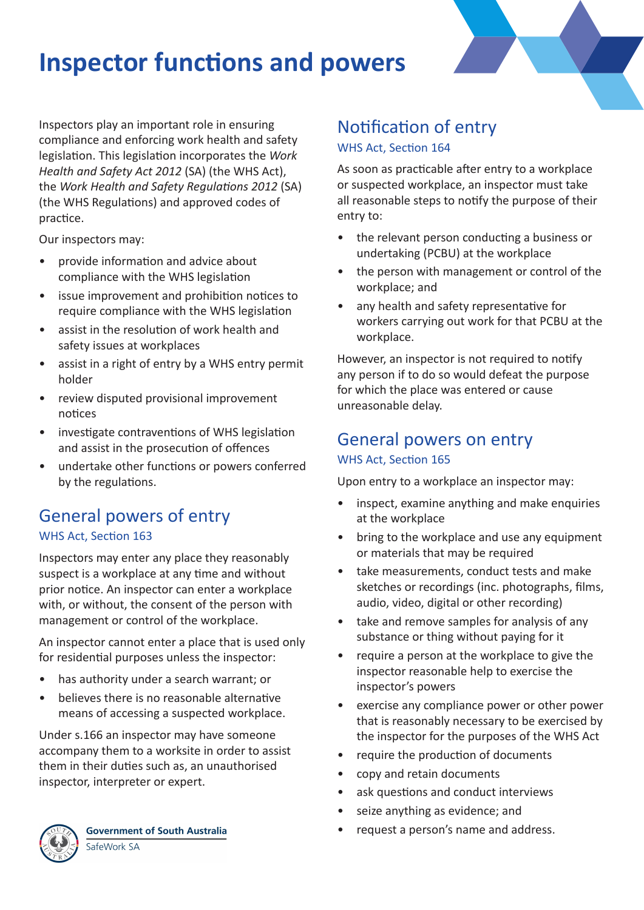# **Inspector functions and powers**

Inspectors play an important role in ensuring compliance and enforcing work health and safety legislation. This legislation incorporates the *Work Health and Safety Act 2012* (SA) (the WHS Act), the *Work Health and Safety Regulations 2012* (SA) (the WHS Regulations) and approved codes of practice.

Our inspectors may:

- provide information and advice about compliance with the WHS legislation
- issue improvement and prohibition notices to require compliance with the WHS legislation
- assist in the resolution of work health and safety issues at workplaces
- assist in a right of entry by a WHS entry permit holder
- review disputed provisional improvement notices
- investigate contraventions of WHS legislation and assist in the prosecution of offences
- undertake other functions or powers conferred by the regulations.

# General powers of entry WHS Act, Section 163

Inspectors may enter any place they reasonably suspect is a workplace at any time and without prior notice. An inspector can enter a workplace with, or without, the consent of the person with management or control of the workplace.

An inspector cannot enter a place that is used only for residential purposes unless the inspector:

- has authority under a search warrant; or
- believes there is no reasonable alternative means of accessing a suspected workplace.

Under s.166 an inspector may have someone accompany them to a worksite in order to assist them in their duties such as, an unauthorised inspector, interpreter or expert.



**Government of South Australia** SafeWork SA

# Notification of entry WHS Act, Section 164

As soon as practicable after entry to a workplace or suspected workplace, an inspector must take all reasonable steps to notify the purpose of their entry to:

- the relevant person conducting a business or undertaking (PCBU) at the workplace
- the person with management or control of the workplace; and
- any health and safety representative for workers carrying out work for that PCBU at the workplace.

However, an inspector is not required to notify any person if to do so would defeat the purpose for which the place was entered or cause unreasonable delay.

## General powers on entry WHS Act, Section 165

Upon entry to a workplace an inspector may:

- inspect, examine anything and make enquiries at the workplace
- bring to the workplace and use any equipment or materials that may be required
- take measurements, conduct tests and make sketches or recordings (inc. photographs, films, audio, video, digital or other recording)
- take and remove samples for analysis of any substance or thing without paying for it
- require a person at the workplace to give the inspector reasonable help to exercise the inspector's powers
- exercise any compliance power or other power that is reasonably necessary to be exercised by the inspector for the purposes of the WHS Act
- require the production of documents
- copy and retain documents
- ask questions and conduct interviews
- seize anything as evidence; and
- request a person's name and address.